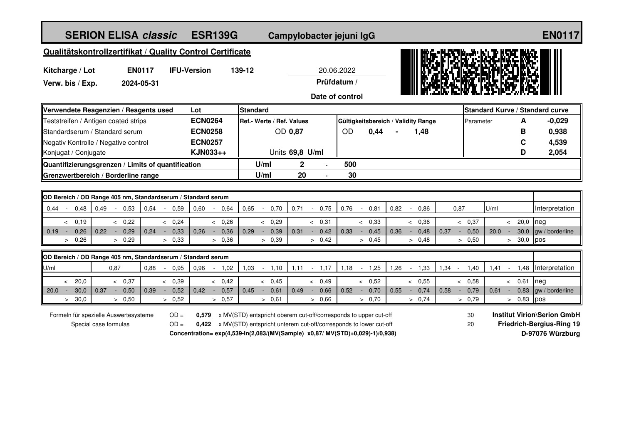| <b>SERION ELISA classic</b><br><b>ESR139G</b>                                                     |                                                                                                                                       |      |                            |                |                          |                           | Campylobacter jejuni IgG |                 |      |        |                |                                     |                          |          | <b>EN0117</b> |        |                                                                        |                                        |                                            |      |      |                             |              |                        |  |
|---------------------------------------------------------------------------------------------------|---------------------------------------------------------------------------------------------------------------------------------------|------|----------------------------|----------------|--------------------------|---------------------------|--------------------------|-----------------|------|--------|----------------|-------------------------------------|--------------------------|----------|---------------|--------|------------------------------------------------------------------------|----------------------------------------|--------------------------------------------|------|------|-----------------------------|--------------|------------------------|--|
| Qualitätskontrollzertifikat / Quality Control Certificate                                         |                                                                                                                                       |      |                            |                |                          |                           |                          |                 |      |        |                |                                     |                          |          |               |        |                                                                        |                                        |                                            |      |      |                             |              |                        |  |
| <b>EN0117</b><br><b>IFU-Version</b><br>Kitcharge / Lot                                            |                                                                                                                                       |      |                            |                |                          | 139-12                    | 20.06.2022               |                 |      |        |                |                                     |                          |          |               |        |                                                                        |                                        |                                            |      |      |                             |              |                        |  |
| Verw. bis / Exp.<br>2024-05-31                                                                    |                                                                                                                                       |      |                            |                | Prüfdatum /              |                           |                          |                 |      |        |                |                                     |                          |          |               |        |                                                                        |                                        |                                            |      |      |                             |              |                        |  |
| Date of control                                                                                   |                                                                                                                                       |      |                            |                |                          |                           |                          |                 |      |        |                |                                     |                          |          |               |        |                                                                        |                                        |                                            |      |      |                             |              |                        |  |
| Verwendete Reagenzien / Reagents used<br>Lot                                                      |                                                                                                                                       |      |                            |                |                          |                           | Standard                 |                 |      |        |                |                                     |                          |          |               |        |                                                                        | <b>Standard Kurve / Standard curve</b> |                                            |      |      |                             |              |                        |  |
| Teststreifen / Antigen coated strips                                                              |                                                                                                                                       |      |                            | <b>ECN0264</b> |                          | Ref.- Werte / Ref. Values |                          |                 |      |        |                | Gültigkeitsbereich / Validity Range |                          |          |               |        |                                                                        |                                        | A<br>Parameter                             |      |      |                             | $-0,029$     |                        |  |
| Standardserum / Standard serum                                                                    |                                                                                                                                       |      |                            | <b>ECN0258</b> |                          | OD 0,87                   |                          |                 |      |        |                | <b>OD</b><br>0,44                   |                          |          | 1,48          |        |                                                                        |                                        |                                            |      |      |                             | 0,938        |                        |  |
| Negativ Kontrolle / Negative control                                                              |                                                                                                                                       |      |                            | <b>ECN0257</b> |                          |                           |                          |                 |      |        |                |                                     |                          |          |               |        |                                                                        |                                        |                                            |      |      |                             | C            | 4,539                  |  |
| KJN033++<br>Konjugat / Conjugate                                                                  |                                                                                                                                       |      |                            |                |                          |                           |                          | Units 69,8 U/ml |      |        |                |                                     |                          |          |               |        |                                                                        |                                        |                                            |      |      | D                           | 2,054        |                        |  |
| Quantifizierungsgrenzen / Limits of quantification                                                |                                                                                                                                       |      |                            |                |                          | U/ml                      |                          | 2               |      |        | 500            |                                     |                          |          |               |        |                                                                        |                                        |                                            |      |      |                             |              |                        |  |
| Grenzwertbereich / Borderline range                                                               |                                                                                                                                       |      |                            |                |                          | 20<br>U/ml                |                          |                 |      |        |                | 30                                  |                          |          |               |        |                                                                        |                                        |                                            |      |      |                             |              |                        |  |
|                                                                                                   |                                                                                                                                       |      |                            |                |                          |                           |                          |                 |      |        |                |                                     |                          |          |               |        |                                                                        |                                        |                                            |      |      |                             |              |                        |  |
| OD Bereich / OD Range 405 nm, Standardserum / Standard serum<br>0,54<br>$0.44 -$<br>$\sim$ $\sim$ |                                                                                                                                       |      |                            |                |                          | 0,65                      | $\sim$                   | 0,70            | 0,71 | $\sim$ | 0,75           | 0,76                                | $\sim$                   | 0,81     | 0,82          | $\sim$ | 0,86                                                                   |                                        | 0,87                                       | U/ml |      |                             |              | Interpretation         |  |
| 0,48<br>0,49                                                                                      | 0,53                                                                                                                                  |      | 0,59<br>$\sim$             | 0,60           | 0,64<br>$\sim$           |                           |                          |                 |      |        |                |                                     |                          |          |               |        |                                                                        |                                        |                                            |      |      |                             |              |                        |  |
| 0,19<br>$\lt$<br>0,26<br>$0.19 -$<br>0,22<br>$\sim$                                               | & 0,22<br>0,29                                                                                                                        | 0,24 | & 0,24<br>0,33<br>$\sim$   | 0,26           | & 0,26<br>0,36<br>$\sim$ | 0,29                      | & 0,29<br>$\sim$         | 0,39            | 0,31 | $\sim$ | & 0,31<br>0,42 | 0,33                                | & 0,33<br>$\sim$ $^{-1}$ | 0,45     | 0,36          | $\sim$ | & 0.36<br>0,48                                                         | 0,37                                   | < 0,37<br>0,50<br>$\sim$                   |      | 20,0 | $\prec$                     | 20,0<br>30,0 | neg<br>gw / borderline |  |
| > 0,26                                                                                            | > 0,29                                                                                                                                |      | > 0,33                     |                | > 0,36                   |                           | > 0,39                   |                 |      |        | > 0,42         |                                     | > 0,45                   |          |               |        | > 0.48                                                                 |                                        | > 0,50                                     |      |      | $\geq$                      | 30,0         | pos                    |  |
|                                                                                                   |                                                                                                                                       |      |                            |                |                          |                           |                          |                 |      |        |                |                                     |                          |          |               |        |                                                                        |                                        |                                            |      |      |                             |              |                        |  |
| OD Bereich / OD Range 405 nm, Standardserum / Standard serum                                      |                                                                                                                                       |      |                            |                |                          |                           |                          |                 |      |        |                |                                     |                          |          |               |        |                                                                        |                                        |                                            |      |      |                             |              |                        |  |
| U/ml<br>0,87                                                                                      |                                                                                                                                       | 0,88 | 0,95<br>$\sim$             | 0,96           | 1,02<br>$\blacksquare$   | 1,03                      | $\sim$ $-$               | 1,10            | 1,11 |        | $-1,17$        | 1,18                                | $-1,25$                  |          | 1,26          |        | $-1,33$                                                                | $1,34 -$                               | 1,40                                       |      | 1,41 | $\mathcal{L}_{\mathcal{A}}$ | 1,48         | Interpretation         |  |
| < 20.0                                                                                            | < 0,37                                                                                                                                |      | < 0.39                     |                | < 0,42                   |                           | < 0.45                   |                 |      |        | < 0.49         |                                     | & 0,52                   |          |               |        | & 0,55                                                                 |                                        | < 0,58                                     |      |      | & 0,61                      |              | neg                    |  |
| 30,0<br>20,0<br>0,37<br>$\sim$<br>$\sim$<br>30,0<br>$\geq$                                        | 0,50<br>> 0,50                                                                                                                        | 0,39 | 0,52<br>$\sim$<br>$> 0,52$ | 0,42           | 0,57<br>$\sim$<br>> 0,57 | 0,45                      | $\sim$<br>> 0,61         | 0,61            | 0.49 | $\sim$ | 0,66<br>> 0.66 | 0,52                                | $\sim$<br>> 0,70         | 0,70     | 0,55          | $\sim$ | 0,74<br>> 0,74                                                         | 0,58                                   | 0,79<br>$\overline{\phantom{a}}$<br>> 0,79 |      | 0,61 | $\sim$<br>$\geq$            | 0,83<br>0,83 | gw / borderline<br>pos |  |
| $OD =$<br>0.579                                                                                   |                                                                                                                                       |      |                            |                |                          |                           |                          |                 |      |        |                |                                     |                          |          |               |        |                                                                        |                                        |                                            |      |      |                             |              |                        |  |
| Formeln für spezielle Auswertesysteme<br>Special case formulas                                    | x MV(STD) entspricht oberem cut-off/corresponds to upper cut-off<br>x MV(STD) entspricht unterem cut-off/corresponds to lower cut-off |      |                            |                |                          |                           |                          |                 |      |        |                |                                     |                          | 30<br>20 |               |        | <b>Institut Virion\Serion GmbH</b><br><b>Friedrich-Bergius-Ring 19</b> |                                        |                                            |      |      |                             |              |                        |  |
|                                                                                                   | Concentration= exp(4,539-In(2,083/(MV(Sample) x0,87/ MV(STD)+0,029)-1)/0,938)                                                         |      |                            |                |                          |                           |                          |                 |      |        |                |                                     | D-97076 Würzburg         |          |               |        |                                                                        |                                        |                                            |      |      |                             |              |                        |  |
|                                                                                                   |                                                                                                                                       |      |                            |                |                          |                           |                          |                 |      |        |                |                                     |                          |          |               |        |                                                                        |                                        |                                            |      |      |                             |              |                        |  |
|                                                                                                   |                                                                                                                                       |      |                            |                |                          |                           |                          |                 |      |        |                |                                     |                          |          |               |        |                                                                        |                                        |                                            |      |      |                             |              |                        |  |
|                                                                                                   |                                                                                                                                       |      |                            |                |                          |                           |                          |                 |      |        |                |                                     |                          |          |               |        |                                                                        |                                        |                                            |      |      |                             |              |                        |  |
|                                                                                                   |                                                                                                                                       |      |                            |                |                          |                           |                          |                 |      |        |                |                                     |                          |          |               |        |                                                                        |                                        |                                            |      |      |                             |              |                        |  |